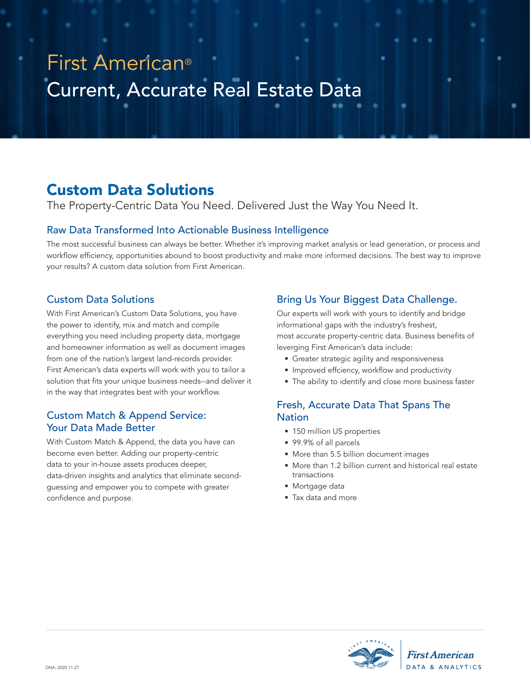# Current, Accurate Real Estate Data First American®

## Custom Data Solutions

The Property-Centric Data You Need. Delivered Just the Way You Need It.

### Raw Data Transformed Into Actionable Business Intelligence

The most successful business can always be better. Whether it's improving market analysis or lead generation, or process and workflow efficiency, opportunities abound to boost productivity and make more informed decisions. The best way to improve your results? A custom data solution from First American.

## Custom Data Solutions

With First American's Custom Data Solutions, you have the power to identify, mix and match and compile everything you need including property data, mortgage and homeowner information as well as document images from one of the nation's largest land-records provider. First American's data experts will work with you to tailor a solution that fits your unique business needs--and deliver it in the way that integrates best with your workflow.

### Custom Match & Append Service: Your Data Made Better

With Custom Match & Append, the data you have can become even better. Adding our property-centric data to your in-house assets produces deeper, data-driven insights and analytics that eliminate secondguessing and empower you to compete with greater confidence and purpose.

## Bring Us Your Biggest Data Challenge.

Our experts will work with yours to identify and bridge informational gaps with the industry's freshest, most accurate property-centric data. Business benefits of leverging First American's data include:

- Greater strategic agility and responsiveness
- Improved effciency, workflow and productivity
- The ability to identify and close more business faster

## Fresh, Accurate Data That Spans The Nation

- 150 million US properties
- 99.9% of all parcels
- More than 5.5 billion document images
- More than 1.2 billion current and historical real estate transactions
- Mortgage data
- Tax data and more